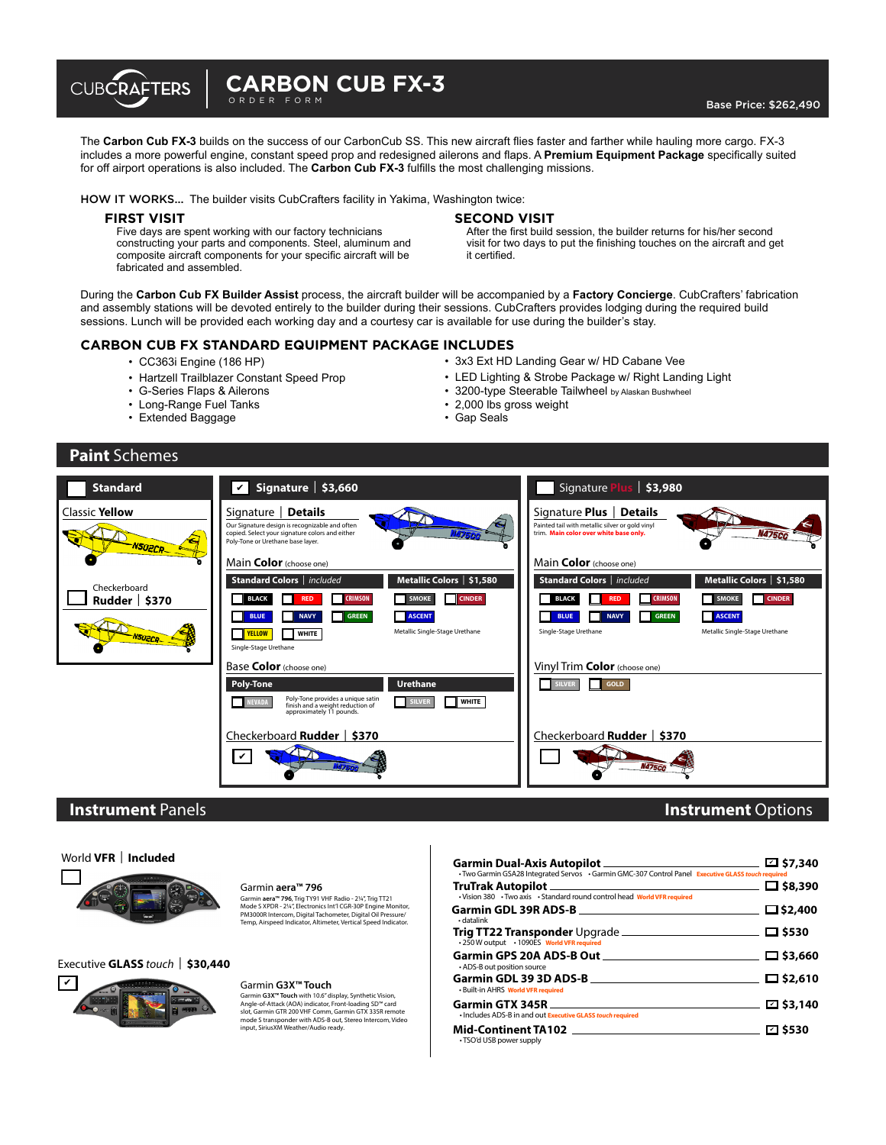

The **Carbon Cub FX-3** builds on the success of our CarbonCub SS. This new aircraft fies faster and farther while hauling more cargo. FX-3 includes a more powerful engine, constant speed prop and redesigned ailerons and faps. A **Premium Equipment Package** specifcally suited for off airport operations is also included. The **Carbon Cub FX-3** fulflls the most challenging missions.

HOW IT WORKS... The builder visits CubCrafters facility in Yakima, Washington twice:

#### **FIRST VISIT**

Five days are spent working with our factory technicians constructing your parts and components. Steel, aluminum and composite aircraft components for your specifc aircraft will be fabricated and assembled.

### **SECOND VISIT**

After the first build session, the builder returns for his/her second visit for two days to put the fnishing touches on the aircraft and get it certifed.

During the **Carbon Cub FX Builder Assist** process, the aircraft builder will be accompanied by a **Factory Concierge**. CubCrafters' fabrication and assembly stations will be devoted entirely to the builder during their sessions. CubCrafters provides lodging during the required build sessions. Lunch will be provided each working day and a courtesy car is available for use during the builder's stay.

### **CARBON CUB FX STANDARD EQUIPMENT PACKAGE INCLUDES**

- CC363i Engine (186 HP)
- Hartzell Trailblazer Constant Speed Prop
- G-Series Flaps & Ailerons
- Long-Range Fuel Tanks
- Extended Baggage
- 3x3 Ext HD Landing Gear w/ HD Cabane Vee
- LED Lighting & Strobe Package w/ Right Landing Light
- 3200-type Steerable Tailwheel by Alaskan Bushwheel
- 2,000 lbs gross weight
- Gap Seals

### **Paint** Schemes



### **Instrument** Panels

#### World **VFR** | **Included**



#### Garmin **aera™ 796**

Garmin **aera™ 796**, Trig TY91 VHF Radio - 2¼", Trig TT21 Mode S XPDR - 2¼", Electronics Int'l CGR-30P Engine Monitor, PM3000R Intercom, Digital Tachometer, Digital Oil Pressure/ Temp, Airspeed Indicator, Altimeter, Vertical Speed Indicator.

Executive **GLASS** *touch*| **\$30,440**



#### Garmin **G3X™ Touch**

Garmin **G3X™ Touch** with 10.6" display, Synthetic Vision, Angle-of-Attack (AOA) indicator, Front-loading SD™ card slot, Garmin GTR 200 VHF Comm, Garmin GTX 335R remote mode S transponder with ADS-B out, Stereo Intercom, Video input, SiriusXM Weather/Audio ready.

| <b>Garmin Dual-Axis Autopilot</b> ___<br>. Two Garmin GSA28 Integrated Servos . Garmin GMC-307 Control Panel Executive GLASS touch required | <b>□ \$7,340</b>  |
|---------------------------------------------------------------------------------------------------------------------------------------------|-------------------|
| <b>TruTrak Autopilot</b><br>. Vision 380 . Two axis . Standard round control head World VFR required                                        | □ \$8,390         |
| <b>Garmin GDL 39R ADS-B</b><br>· datalink                                                                                                   | $\square$ \$2,400 |
| Trig TT22 Transponder Upgrade ______________<br>• 250 W output • 1090ES World VFR required                                                  | $\Box$ \$530      |
| <b>Garmin GPS 20A ADS-B Out</b><br>• ADS-B out position source                                                                              | $\square$ \$3,660 |
| Garmin GDL 39 3D ADS-B<br>· Built-in AHRS World VFR required                                                                                | $\square$ \$2,610 |
| <b>Garmin GTX 345R</b><br>· Includes ADS-B in and out Executive GLASS touch required                                                        | $\square$ \$3,140 |
| <b>Mid-Continent TA102</b><br>• TSO'd USB power supply                                                                                      | ⊡ \$530           |

**Instrument** Options